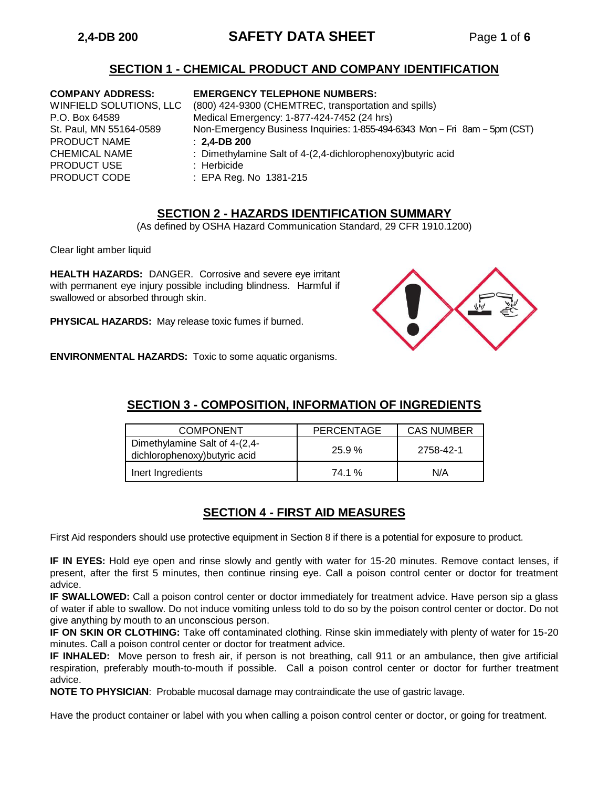# **2,4-DB 200 SAFETY DATA SHEET** Page **1** of **6**

## **SECTION 1 - CHEMICAL PRODUCT AND COMPANY IDENTIFICATION**

PRODUCT NAME : **2,4-DB 200** PRODUCT USE : Herbicide PRODUCT CODE : EPA Reg. No 1381-215

### **COMPANY ADDRESS: EMERGENCY TELEPHONE NUMBERS:**

WINFIELD SOLUTIONS, LLC (800) 424-9300 (CHEMTREC, transportation and spills) P.O. Box 64589 Medical Emergency: 1-877-424-7452 (24 hrs) St. Paul, MN 55164-0589 Non-Emergency Business Inquiries: 1-855-494-6343 Mon – Fri 8am – 5pm (CST)

- CHEMICAL NAME : Dimethylamine Salt of 4-(2,4-dichlorophenoxy)butyric acid
	-
	-

## **SECTION 2 - HAZARDS IDENTIFICATION SUMMARY**

(As defined by OSHA Hazard Communication Standard, 29 CFR 1910.1200)

Clear light amber liquid

**HEALTH HAZARDS:** DANGER. Corrosive and severe eye irritant with permanent eye injury possible including blindness. Harmful if swallowed or absorbed through skin.

**PHYSICAL HAZARDS:** May release toxic fumes if burned.



**ENVIRONMENTAL HAZARDS:** Toxic to some aquatic organisms.

## **SECTION 3 - COMPOSITION, INFORMATION OF INGREDIENTS**

| <b>COMPONENT</b>                                               | PERCENTAGE | <b>CAS NUMBER</b> |
|----------------------------------------------------------------|------------|-------------------|
| Dimethylamine Salt of 4-(2,4-<br>dichlorophenoxy) butyric acid | 25.9%      | 2758-42-1         |
| Inert Ingredients                                              | 74.1 %     | N/A               |

## **SECTION 4 - FIRST AID MEASURES**

First Aid responders should use protective equipment in Section 8 if there is a potential for exposure to product.

**IF IN EYES:** Hold eye open and rinse slowly and gently with water for 15-20 minutes. Remove contact lenses, if present, after the first 5 minutes, then continue rinsing eye. Call a poison control center or doctor for treatment advice.

**IF SWALLOWED:** Call a poison control center or doctor immediately for treatment advice. Have person sip a glass of water if able to swallow. Do not induce vomiting unless told to do so by the poison control center or doctor. Do not give anything by mouth to an unconscious person.

**IF ON SKIN OR CLOTHING:** Take off contaminated clothing. Rinse skin immediately with plenty of water for 15-20 minutes. Call a poison control center or doctor for treatment advice.

**IF INHALED:** Move person to fresh air, if person is not breathing, call 911 or an ambulance, then give artificial respiration, preferably mouth-to-mouth if possible. Call a poison control center or doctor for further treatment advice.

**NOTE TO PHYSICIAN**: Probable mucosal damage may contraindicate the use of gastric lavage.

Have the product container or label with you when calling a poison control center or doctor, or going for treatment.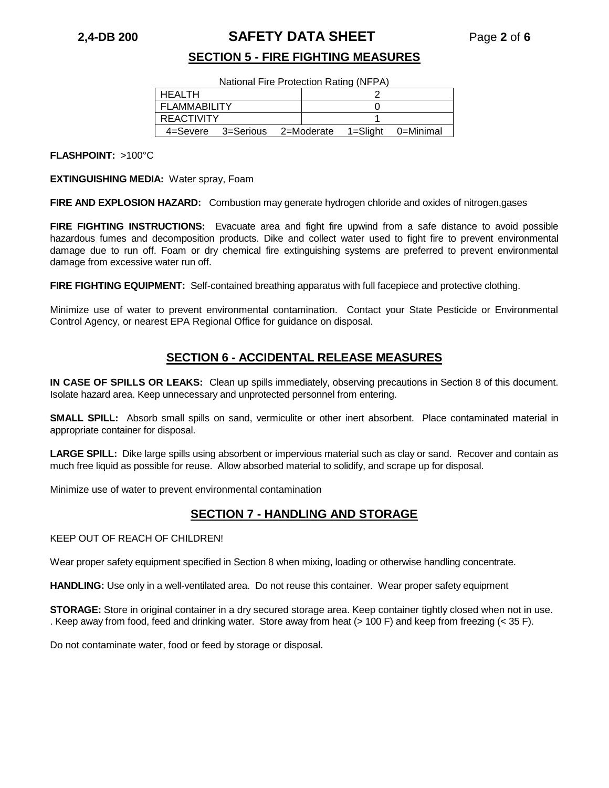## **2,4-DB 200 SAFETY DATA SHEET** Page **2** of **6**

## **SECTION 5 - FIRE FIGHTING MEASURES**

National Fire Protection Rating (NFPA)

| I HEALTH       |                               |  |              |           |
|----------------|-------------------------------|--|--------------|-----------|
| I FLAMMABILITY |                               |  |              |           |
| REACTIVITY     |                               |  |              |           |
|                | 4=Severe 3=Serious 2=Moderate |  | $1 =$ Slight | 0=Minimal |

**FLASHPOINT:** >100°C

**EXTINGUISHING MEDIA:** Water spray, Foam

**FIRE AND EXPLOSION HAZARD:** Combustion may generate hydrogen chloride and oxides of nitrogen,gases

**FIRE FIGHTING INSTRUCTIONS:** Evacuate area and fight fire upwind from a safe distance to avoid possible hazardous fumes and decomposition products. Dike and collect water used to fight fire to prevent environmental damage due to run off. Foam or dry chemical fire extinguishing systems are preferred to prevent environmental damage from excessive water run off.

**FIRE FIGHTING EQUIPMENT:** Self-contained breathing apparatus with full facepiece and protective clothing.

Minimize use of water to prevent environmental contamination. Contact your State Pesticide or Environmental Control Agency, or nearest EPA Regional Office for guidance on disposal.

## **SECTION 6 - ACCIDENTAL RELEASE MEASURES**

**IN CASE OF SPILLS OR LEAKS:** Clean up spills immediately, observing precautions in Section 8 of this document. Isolate hazard area. Keep unnecessary and unprotected personnel from entering.

**SMALL SPILL:** Absorb small spills on sand, vermiculite or other inert absorbent. Place contaminated material in appropriate container for disposal.

**LARGE SPILL:** Dike large spills using absorbent or impervious material such as clay or sand. Recover and contain as much free liquid as possible for reuse. Allow absorbed material to solidify, and scrape up for disposal.

Minimize use of water to prevent environmental contamination

## **SECTION 7 - HANDLING AND STORAGE**

KEEP OUT OF REACH OF CHILDREN!

Wear proper safety equipment specified in Section 8 when mixing, loading or otherwise handling concentrate.

**HANDLING:** Use only in a well-ventilated area. Do not reuse this container. Wear proper safety equipment

**STORAGE:** Store in original container in a dry secured storage area. Keep container tightly closed when not in use. . Keep away from food, feed and drinking water. Store away from heat (> 100 F) and keep from freezing (< 35 F).

Do not contaminate water, food or feed by storage or disposal.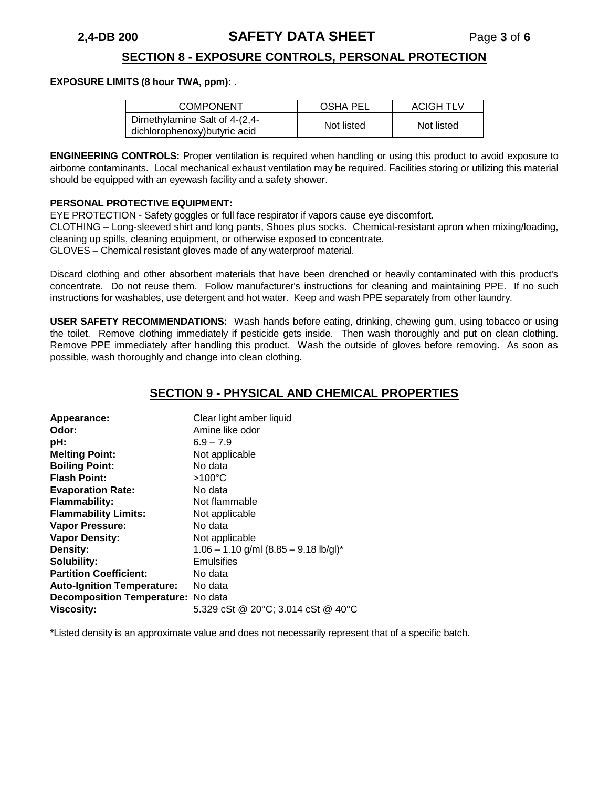# **2,4-DB 200 SAFETY DATA SHEET** Page **3** of **6**

## **SECTION 8 - EXPOSURE CONTROLS, PERSONAL PROTECTION**

#### **EXPOSURE LIMITS (8 hour TWA, ppm):** .

| <b>COMPONENT</b>                                               | OSHA PEL   | ACIGH TLV  |
|----------------------------------------------------------------|------------|------------|
| Dimethylamine Salt of 4-(2,4-<br>dichlorophenoxy) butyric acid | Not listed | Not listed |

**ENGINEERING CONTROLS:** Proper ventilation is required when handling or using this product to avoid exposure to airborne contaminants. Local mechanical exhaust ventilation may be required. Facilities storing or utilizing this material should be equipped with an eyewash facility and a safety shower.

#### **PERSONAL PROTECTIVE EQUIPMENT:**

EYE PROTECTION - Safety goggles or full face respirator if vapors cause eye discomfort.

CLOTHING – Long-sleeved shirt and long pants, Shoes plus socks. Chemical-resistant apron when mixing/loading, cleaning up spills, cleaning equipment, or otherwise exposed to concentrate.

GLOVES – Chemical resistant gloves made of any waterproof material.

Discard clothing and other absorbent materials that have been drenched or heavily contaminated with this product's concentrate. Do not reuse them. Follow manufacturer's instructions for cleaning and maintaining PPE. If no such instructions for washables, use detergent and hot water. Keep and wash PPE separately from other laundry.

**USER SAFETY RECOMMENDATIONS:** Wash hands before eating, drinking, chewing gum, using tobacco or using the toilet. Remove clothing immediately if pesticide gets inside. Then wash thoroughly and put on clean clothing. Remove PPE immediately after handling this product. Wash the outside of gloves before removing. As soon as possible, wash thoroughly and change into clean clothing.

## **SECTION 9 - PHYSICAL AND CHEMICAL PROPERTIES**

| Appearance:                        | Clear light amber liquid                  |  |  |
|------------------------------------|-------------------------------------------|--|--|
| Odor:                              | Amine like odor                           |  |  |
| pH:                                | $6.9 - 7.9$                               |  |  |
| <b>Melting Point:</b>              | Not applicable                            |  |  |
| <b>Boiling Point:</b>              | No data                                   |  |  |
| <b>Flash Point:</b>                | $>100^{\circ}$ C                          |  |  |
| <b>Evaporation Rate:</b>           | No data                                   |  |  |
| <b>Flammability:</b>               | Not flammable                             |  |  |
| <b>Flammability Limits:</b>        | Not applicable                            |  |  |
| Vapor Pressure:                    | No data                                   |  |  |
| <b>Vapor Density:</b>              | Not applicable                            |  |  |
| Density:                           | $1.06 - 1.10$ g/ml $(8.85 - 9.18$ lb/gl)* |  |  |
| <b>Solubility:</b>                 | Emulsifies                                |  |  |
| <b>Partition Coefficient:</b>      | No data                                   |  |  |
| <b>Auto-Ignition Temperature:</b>  | No data                                   |  |  |
| Decomposition Temperature: No data |                                           |  |  |
| <b>Viscosity:</b>                  | 5.329 cSt @ 20°C; 3.014 cSt @ 40°C        |  |  |

\*Listed density is an approximate value and does not necessarily represent that of a specific batch.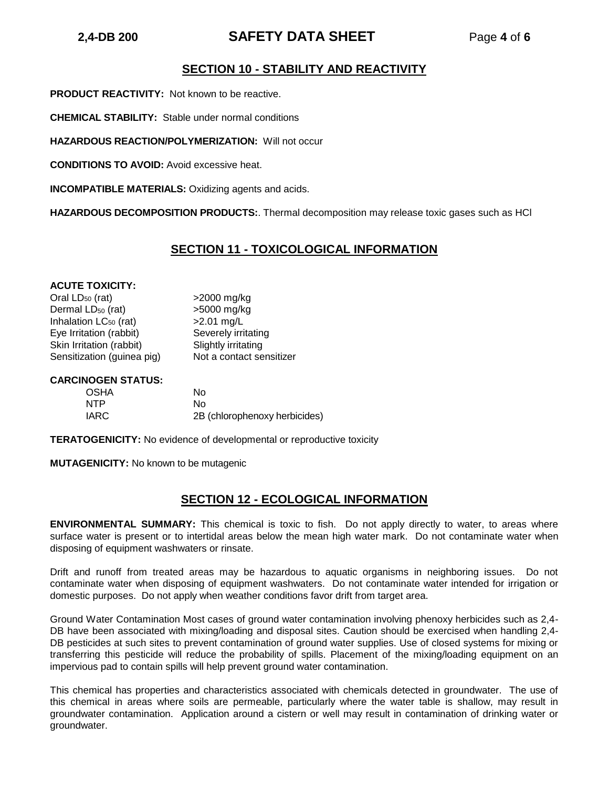# **2,4-DB 200 SAFETY DATA SHEET** Page **4** of **6**

## **SECTION 10 - STABILITY AND REACTIVITY**

**PRODUCT REACTIVITY:** Not known to be reactive.

**CHEMICAL STABILITY:** Stable under normal conditions

**HAZARDOUS REACTION/POLYMERIZATION:** Will not occur

**CONDITIONS TO AVOID:** Avoid excessive heat.

**INCOMPATIBLE MATERIALS:** Oxidizing agents and acids.

**HAZARDOUS DECOMPOSITION PRODUCTS:**. Thermal decomposition may release toxic gases such as HCl

## **SECTION 11 - TOXICOLOGICAL INFORMATION**

#### **ACUTE TOXICITY:**

Oral  $LD_{50}$  (rat)  $>2000$  mg/kg Dermal  $LD_{50}$  (rat)  $>5000$  mg/kg Inhalation  $LC_{50}$  (rat)  $>2.01$  mg/L Eye Irritation (rabbit) Severely irritating Skin Irritation (rabbit) Slightly irritating Sensitization (guinea pig) Not a contact sensitizer

#### **CARCINOGEN STATUS:**

| OSHA       | Nο                            |
|------------|-------------------------------|
| <b>NTP</b> | Nο                            |
| IARC       | 2B (chlorophenoxy herbicides) |

**TERATOGENICITY:** No evidence of developmental or reproductive toxicity

**MUTAGENICITY:** No known to be mutagenic

## **SECTION 12 - ECOLOGICAL INFORMATION**

**ENVIRONMENTAL SUMMARY:** This chemical is toxic to fish. Do not apply directly to water, to areas where surface water is present or to intertidal areas below the mean high water mark. Do not contaminate water when disposing of equipment washwaters or rinsate.

Drift and runoff from treated areas may be hazardous to aquatic organisms in neighboring issues. Do not contaminate water when disposing of equipment washwaters. Do not contaminate water intended for irrigation or domestic purposes. Do not apply when weather conditions favor drift from target area.

Ground Water Contamination Most cases of ground water contamination involving phenoxy herbicides such as 2,4- DB have been associated with mixing/loading and disposal sites. Caution should be exercised when handling 2,4- DB pesticides at such sites to prevent contamination of ground water supplies. Use of closed systems for mixing or transferring this pesticide will reduce the probability of spills. Placement of the mixing/loading equipment on an impervious pad to contain spills will help prevent ground water contamination.

This chemical has properties and characteristics associated with chemicals detected in groundwater. The use of this chemical in areas where soils are permeable, particularly where the water table is shallow, may result in groundwater contamination. Application around a cistern or well may result in contamination of drinking water or groundwater.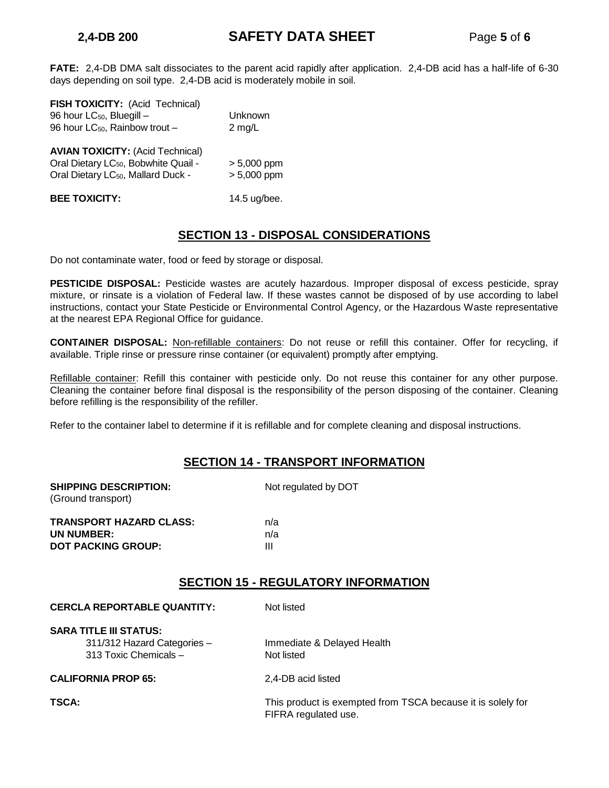**FATE:** 2,4-DB DMA salt dissociates to the parent acid rapidly after application. 2,4-DB acid has a half-life of 6-30 days depending on soil type. 2,4-DB acid is moderately mobile in soil.

| FISH TOXICITY: (Acid Technical)<br>96 hour LC <sub>50</sub> , Bluegill -<br>96 hour LC <sub>50</sub> , Rainbow trout -                        | Unknown<br>$2 \text{ mg/L}$    |
|-----------------------------------------------------------------------------------------------------------------------------------------------|--------------------------------|
| <b>AVIAN TOXICITY: (Acid Technical)</b><br>Oral Dietary LC <sub>50</sub> , Bobwhite Quail -<br>Oral Dietary LC <sub>50</sub> , Mallard Duck - | $> 5,000$ ppm<br>$> 5,000$ ppm |
| <b>BEE TOXICITY:</b>                                                                                                                          | 14.5 ug/bee.                   |

## **SECTION 13 - DISPOSAL CONSIDERATIONS**

Do not contaminate water, food or feed by storage or disposal.

**PESTICIDE DISPOSAL:** Pesticide wastes are acutely hazardous. Improper disposal of excess pesticide, spray mixture, or rinsate is a violation of Federal law. If these wastes cannot be disposed of by use according to label instructions, contact your State Pesticide or Environmental Control Agency, or the Hazardous Waste representative at the nearest EPA Regional Office for guidance.

**CONTAINER DISPOSAL:** Non-refillable containers: Do not reuse or refill this container. Offer for recycling, if available. Triple rinse or pressure rinse container (or equivalent) promptly after emptying.

Refillable container: Refill this container with pesticide only. Do not reuse this container for any other purpose. Cleaning the container before final disposal is the responsibility of the person disposing of the container. Cleaning before refilling is the responsibility of the refiller.

Refer to the container label to determine if it is refillable and for complete cleaning and disposal instructions.

## **SECTION 14 - TRANSPORT INFORMATION**

| <b>SHIPPING DESCRIPTION:</b><br>(Ground transport) | Not regulated by DOT |
|----------------------------------------------------|----------------------|
| <b>TRANSPORT HAZARD CLASS:</b>                     | n/a                  |
| UN NUMBER:                                         | n/a                  |
| <b>DOT PACKING GROUP:</b>                          | Ш                    |

## **SECTION 15 - REGULATORY INFORMATION**

| <b>CERCLA REPORTABLE QUANTITY:</b>                                                    | Not listed                                                                          |
|---------------------------------------------------------------------------------------|-------------------------------------------------------------------------------------|
| <b>SARA TITLE III STATUS:</b><br>311/312 Hazard Categories -<br>313 Toxic Chemicals - | Immediate & Delayed Health<br>Not listed                                            |
| <b>CALIFORNIA PROP 65:</b>                                                            | 2.4-DB acid listed                                                                  |
| <b>TSCA:</b>                                                                          | This product is exempted from TSCA because it is solely for<br>FIFRA regulated use. |